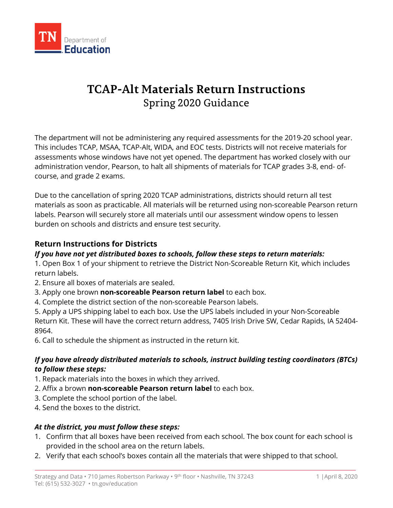

# **TCAP-Alt Materials Return Instructions** Spring 2020 Guidance

The department will not be administering any required assessments for the 2019-20 school year. This includes TCAP, MSAA, TCAP-Alt, WIDA, and EOC tests. Districts will not receive materials for assessments whose windows have not yet opened. The department has worked closely with our administration vendor, Pearson, to halt all shipments of materials for TCAP grades 3-8, end- ofcourse, and grade 2 exams.

Due to the cancellation of spring 2020 TCAP administrations, districts should return all test materials as soon as practicable. All materials will be returned using non-scoreable Pearson return labels. Pearson will securely store all materials until our assessment window opens to lessen burden on schools and districts and ensure test security.

## **Return Instructions for Districts**

## *If you have not yet distributed boxes to schools, follow these steps to return materials:*

1. Open Box 1 of your shipment to retrieve the District Non-Scoreable Return Kit, which includes return labels.

- 2. Ensure all boxes of materials are sealed.
- 3. Apply one brown **non-scoreable Pearson return label** to each box.
- 4. Complete the district section of the non-scoreable Pearson labels.

5. Apply a UPS shipping label to each box. Use the UPS labels included in your Non-Scoreable Return Kit. These will have the correct return address, 7405 Irish Drive SW, Cedar Rapids, IA 52404- 8964.

6. Call to schedule the shipment as instructed in the return kit.

## *If you have already distributed materials to schools, instruct building testing coordinators (BTCs) to follow these steps:*

- 1. Repack materials into the boxes in which they arrived.
- 2. Affix a brown **non-scoreable Pearson return label** to each box.
- 3. Complete the school portion of the label.
- 4. Send the boxes to the district.

### *At the district, you must follow these steps:*

- 1. Confirm that all boxes have been received from each school. The box count for each school is provided in the school area on the return labels.
- 2. Verify that each school's boxes contain all the materials that were shipped to that school.